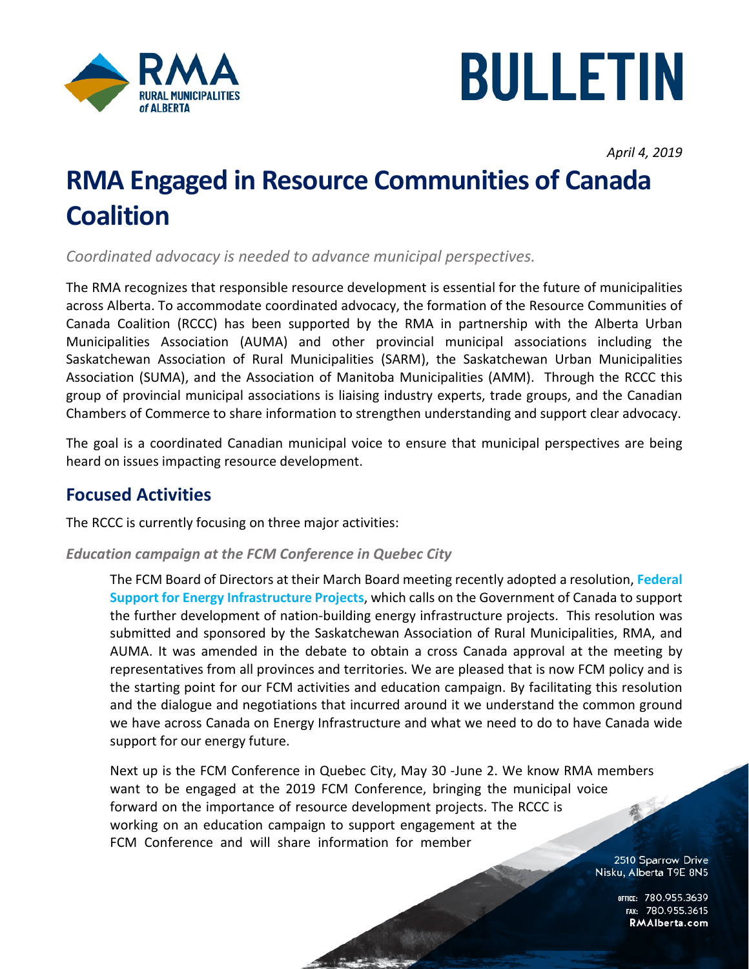



*April 4, 2019*

# **RMA Engaged in Resource Communities of Canada Coalition**

*Coordinated advocacy is needed to advance municipal perspectives.*

The RMA recognizes that responsible resource development is essential for the future of municipalities across Alberta. To accommodate coordinated advocacy, the formation of the Resource Communities of Canada Coalition (RCCC) has been supported by the RMA in partnership with the Alberta Urban Municipalities Association (AUMA) and other provincial municipal associations including the Saskatchewan Association of Rural Municipalities (SARM), the Saskatchewan Urban Municipalities Association (SUMA), and the Association of Manitoba Municipalities (AMM). Through the RCCC this group of provincial municipal associations is liaising industry experts, trade groups, and the Canadian Chambers of Commerce to share information to strengthen understanding and support clear advocacy.

The goal is a coordinated Canadian municipal voice to ensure that municipal perspectives are being heard on issues impacting resource development.

## **Focused Activities**

The RCCC is currently focusing on three major activities:

#### *Education campaign at the FCM Conference in Quebec City*

The FCM Board of Directors at their March Board meeting recently adopted a resolution, **[Federal](https://data.fcm.ca/home/about-us/corporate-resources/fcm-resolutions.htm?lang=en-CA&resolution=8f7d9d0f-ea4f-e911-baa5-005056bc2614&srch=%25energy%25&iss=&filt=false)  [Support for Energy Infrastructure Projects](https://data.fcm.ca/home/about-us/corporate-resources/fcm-resolutions.htm?lang=en-CA&resolution=8f7d9d0f-ea4f-e911-baa5-005056bc2614&srch=%25energy%25&iss=&filt=false)**, which calls on the Government of Canada to support the further development of nation-building energy infrastructure projects. This resolution was submitted and sponsored by the Saskatchewan Association of Rural Municipalities, RMA, and AUMA. It was amended in the debate to obtain a cross Canada approval at the meeting by representatives from all provinces and territories. We are pleased that is now FCM policy and is the starting point for our FCM activities and education campaign. By facilitating this resolution and the dialogue and negotiations that incurred around it we understand the common ground we have across Canada on Energy Infrastructure and what we need to do to have Canada wide support for our energy future.

Next up is the FCM Conference in Quebec City, May 30 -June 2. We know RMA members want to be engaged at the 2019 FCM Conference, bringing the municipal voice forward on the importance of resource development projects. The RCCC is working on an education campaign to support engagement at the FCM Conference and will share information for member

> 2510 Sparrow Drive Nisku, Alberta T9E 8N5

> > OFFICE: 780.955.3639<br>15.780.955.3615 RMAIberta.com